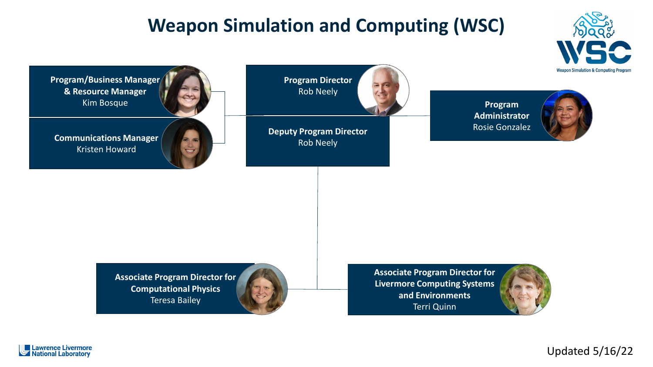# **Weapon Simulation and Computing (WSC)**

**Weapon Simulation & Computing Prograr** 

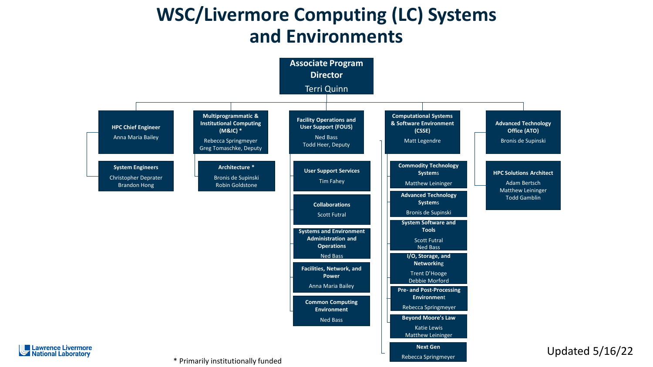### **WSC/Livermore Computing (LC) Systems and Environments**



Updated 5/16/22

\* Primarily institutionally funded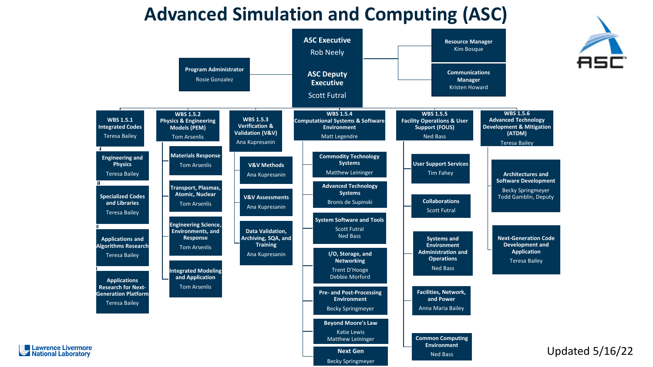### **Advanced Simulation and Computing (ASC)**

**ASC Executive** 



**Resource Manager**

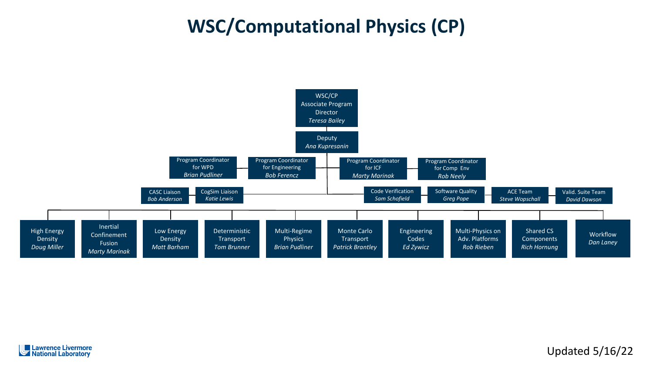# **WSC/Computational Physics (CP)**